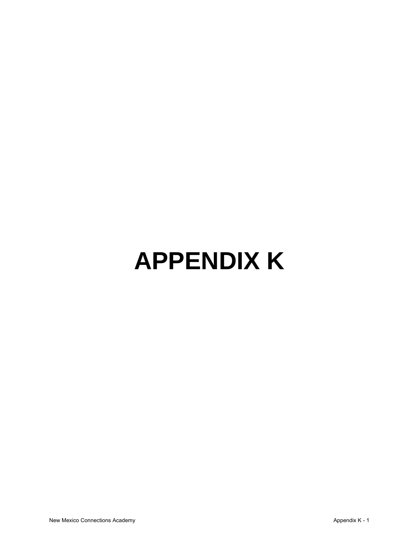## **APPENDIX K**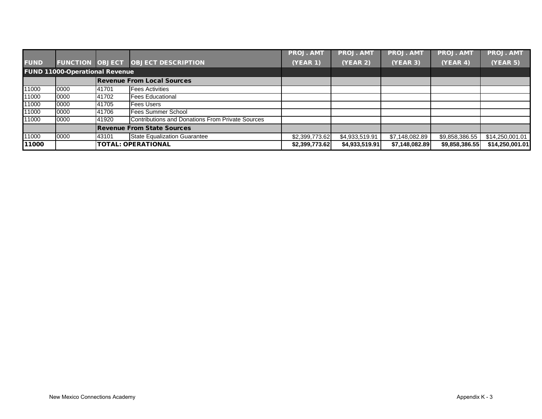|             |                                       |       |                                                  | <b>PROJ. AMT</b> | <b>PROJ. AMT</b> | <b>PROJ. AMT</b> | <b>PROJ. AM</b> | <b>PROJ. AMT</b> |
|-------------|---------------------------------------|-------|--------------------------------------------------|------------------|------------------|------------------|-----------------|------------------|
| <b>FUND</b> | <b>FUNCTION OBJECT</b>                |       | <b>OBJECT DESCRIPTION</b>                        | <b>(YEAR 1)</b>  | (YEAR 2)         | (YEAR 3)         | (YEAR 4)        | <b>(YEAR 5)</b>  |
|             | <b>FUND 11000-Operational Revenue</b> |       |                                                  |                  |                  |                  |                 |                  |
|             |                                       |       | <b>Revenue From Local Sources</b>                |                  |                  |                  |                 |                  |
| 11000       | 0000                                  | 41701 | <b>Fees Activities</b>                           |                  |                  |                  |                 |                  |
| 11000       | 0000                                  | 41702 | <b>Fees Educational</b>                          |                  |                  |                  |                 |                  |
| 11000       | 0000                                  | 41705 | <b>Fees Users</b>                                |                  |                  |                  |                 |                  |
| 11000       | 0000                                  | 41706 | Fees Summer School                               |                  |                  |                  |                 |                  |
| 11000       | 0000                                  | 41920 | Contributions and Donations From Private Sources |                  |                  |                  |                 |                  |
|             |                                       |       | <b>Revenue From State Sources</b>                |                  |                  |                  |                 |                  |
| 11000       | 0000                                  | 43101 | <b>State Equalization Guarantee</b>              | \$2,399,773.62   | \$4,933,519.91   | \$7,148,082.89   | \$9,858,386.55  | \$14,250,001.01  |
| 11000       |                                       |       | <b>TOTAL: OPERATIONAL</b>                        | \$2,399,773.62   | \$4,933,519.91   | \$7,148,082.89   | \$9,858,386.55  | \$14,250,001.01  |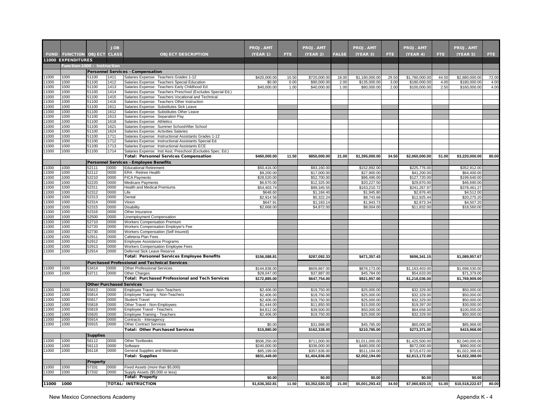|                |                             |                 | <b>JOB</b>   |                                                                                                               | <b>PROJ. AMT</b>       |               | <b>PROJ. AMT</b>            |               | PROJ. AMT                      |               | <b>PROJ. AMT</b>               |               | <b>PROJ. AMT</b>               |               |
|----------------|-----------------------------|-----------------|--------------|---------------------------------------------------------------------------------------------------------------|------------------------|---------------|-----------------------------|---------------|--------------------------------|---------------|--------------------------------|---------------|--------------------------------|---------------|
|                | <b>FUND FUNCTION OBJECT</b> |                 | <b>CLASS</b> | <b>OBJECT DESCRIPTION</b>                                                                                     | (YEAR 1)               | <b>FTE</b>    | (YEAR 2)                    | <b>FALSE</b>  | (YEAR 3)                       | FTE.          | (YEAR 4)                       | FTE.          | (YEAR 5)                       | FTE.          |
|                | <b>11000 EXPENDITURES</b>   |                 |              |                                                                                                               |                        |               |                             |               |                                |               |                                |               |                                |               |
|                | Function-1000 - Instruction |                 |              |                                                                                                               |                        |               |                             |               |                                |               |                                |               |                                |               |
|                |                             |                 |              | <b>Personnel Services - Compensation</b>                                                                      |                        |               |                             |               |                                |               |                                |               |                                |               |
| 11000<br>11000 | 1000<br>1000                | 51100<br>51100  | 1411<br>1412 | Salaries Expense: Teachers Grades 1-12<br>Salaries Expense: Teachers Special Education                        | \$420,000.00<br>\$0.00 | 10.50<br>0.00 | \$720,000.00<br>\$90,000.00 | 18.00<br>2.00 | \$1,180,000.00<br>\$135,000.00 | 29.50<br>3.00 | \$1,780,000.00<br>\$180,000.00 | 44.50<br>4.00 | \$2,880,000.00<br>\$180,000.00 | 72.00<br>4.00 |
| 11000          | 1000                        | 51100           | 1413         | Salaries Expense: Teachers Early Childhood Ed.                                                                | \$40,000.00            | 1.00          | \$40,000.00                 | 1.00          | \$80,000.00                    | 2.00          | \$100,000.00                   | 2.50          | \$160,000.00                   | 4.00          |
| 11000          | 1000                        | 51100           | 1414         | Salaries Expense: Teachers Preschool (Excludes Special Ed.)                                                   |                        |               |                             |               |                                |               |                                |               |                                |               |
| 11000          | 1000                        | 51100           | 1415         | Salaries Expense: Teachers Vocational and Technical                                                           |                        |               |                             |               |                                |               |                                |               |                                |               |
| 1000           | 1000                        | 51100           | 1416         | Salaries Expense: Teachers Other Instruction                                                                  |                        |               |                             |               |                                |               |                                |               |                                |               |
| 1000<br>1000   | 1000<br>1000                | 51100<br>51100  | 1611<br>1612 | Salaries Expense: Substitutes Sick Leave                                                                      |                        |               |                             |               |                                |               |                                |               |                                |               |
| 1000           | 1000                        | 51100           | 1613         | Salaries Expense: Substitutes Other Leave<br>Salaries Expense: Separation Pay                                 |                        |               |                             |               |                                |               |                                |               |                                |               |
| 1000           | 1000                        | 51100           | 1618         | Salaries Expense: Athletics                                                                                   |                        |               |                             |               |                                |               |                                |               |                                |               |
| 1000           | 1000                        | 51100           | 1621         | Salaries Expense: Summer School/After School                                                                  |                        |               |                             |               |                                |               |                                |               |                                |               |
| 1000           | 1000                        | 51100           | 1624         | Salaries Expense: Activities Salaries                                                                         |                        |               |                             |               |                                |               |                                |               |                                |               |
| 1000           | 1000                        | 51100           | 1711         | Salaries Expense: Instructional Assistants Grades 1-12                                                        |                        |               |                             |               |                                |               |                                |               |                                |               |
| 1000           | 1000                        | 51100           | 1712         | Salaries Expense: Instructional Assistants Special Ed.                                                        |                        |               |                             |               |                                |               |                                |               |                                |               |
| 1000<br>1000   | 1000<br>1000                | 51100<br>51100  | 1713<br>1714 | Salaries Expense: Instructional Assistants ECE<br>Salaries Expense: Inst Asst. Preschool (Excludes Spec. Ed.) |                        |               |                             |               |                                |               |                                |               |                                |               |
|                |                             |                 |              | <b>Total: Personnel Services Compensation</b>                                                                 | \$460,000.00           | 11.50         | \$850,000.00                | 21.00         | \$1,395,000.00                 | 34.50         | \$2,060,000.00                 | 51.00         | \$3,220,000.00                 | 80.00         |
|                |                             |                 |              | <b>Personnel Services - Employee Benefits</b>                                                                 |                        |               |                             |               |                                |               |                                |               |                                |               |
| 1000           | 1000                        | 52111           | 0000         | <b>Educational Retirement</b>                                                                                 | \$50,416.00            |               | \$93,160.00                 |               | \$152,892.00                   |               | \$225,776.00                   |               | \$352,912.00                   |               |
| 1000           | 1000                        | 52112           | 0000         | <b>ERA - Retiree Health</b>                                                                                   | \$9,200.00             |               | \$17,000.00                 |               | \$27,900.00                    |               | \$41,200.00                    |               | \$64,400.00                    |               |
| 1000           | 1000                        | 52210           | 0000         | <b>FICA Payments</b>                                                                                          | \$28,520.00            |               | \$52,700.00                 |               | \$86,490.00                    |               | \$127,720.00                   |               | \$199,640.00                   |               |
| 1000           | 1000                        | 52220           | 0000         | Medicare Payments                                                                                             | \$6,670.00             |               | \$12,325.00                 |               | \$20,227.50                    |               | \$29,870.00                    |               | \$46,690.00                    |               |
| 1000<br>1000   | 1000<br>1000                | 52311<br>52312  | 0000         | <b>Health and Medical Premiums</b>                                                                            | \$54,403.74            |               | \$99,345.55                 |               | \$163,210.72                   |               | \$241,267.97                   |               | \$378,461.27                   |               |
| 1000           | 1000                        | 52313           | 0000<br>0000 | Life<br>Dental                                                                                                | \$648.60<br>\$2.914.56 |               | \$1,184.40<br>\$5,322.24    |               | \$1,945.80<br>\$8,743.68       |               | \$2,876.40<br>\$12,925.44      |               | \$4,512.00<br>\$20,275.20      |               |
| 1000           | 1000                        | 52314           | 0000         | Vision                                                                                                        | \$647.91               |               | \$1,183.14                  |               | \$1,943.73                     |               | \$2,873.34                     |               | \$4,507.20                     |               |
| 1000           | 1000                        | 52315           | 0000         | Disability                                                                                                    | \$2,668.00             |               | \$4,872.00                  |               | \$8,004.00                     |               | \$11,832.00                    |               | \$18,560.00                    |               |
| 1000           | 1000                        | 52316           | 0000         | Other Insurance                                                                                               |                        |               |                             |               |                                |               |                                |               |                                |               |
| 11000          | 1000                        | 52500           | 0000         | Unemployment Compensation                                                                                     |                        |               |                             |               |                                |               |                                |               |                                |               |
| 11000<br>11000 | 1000<br>1000                | 52710           | 0000         | Workers Compensation Premium                                                                                  |                        |               |                             |               |                                |               |                                |               |                                |               |
| 11000          | 1000                        | 52720<br>52730  | 0000<br>0000 | Workers Compensation Employer's Fee<br><b>Workers Compensation (Self Insured)</b>                             |                        |               |                             |               |                                |               |                                |               |                                |               |
| 1000           | 1000                        | 52911           | 0000         | Cafeteria Plan Fees                                                                                           |                        |               |                             |               |                                |               |                                |               |                                |               |
| 1000           | 1000                        | 52912           | 0000         | Employee Assistance Programs                                                                                  |                        |               |                             |               |                                |               |                                |               |                                |               |
| 1000           | 1000                        | 52913           | 0000         | Workers Compensation Employee Fees                                                                            |                        |               |                             |               |                                |               |                                |               |                                |               |
| 1000           | 1000                        | 52914           | 0000         | Deferred Sick Leave Reserve                                                                                   |                        |               |                             |               |                                |               |                                |               |                                |               |
|                |                             |                 |              | <b>Total: Personnel Services Employee Benefits</b>                                                            | \$156,088.81           |               | \$287,092.33                |               | \$471,357.43                   |               | \$696,341.15                   |               | \$1,089,957.67                 |               |
|                |                             |                 |              | <b>Purchased Professional and Technical Services</b>                                                          |                        |               |                             |               |                                |               |                                |               |                                |               |
| 11000          | 1000                        | 53414           | 0000         | Other Professional Services                                                                                   | \$144,838.00           |               | \$609,867.00                |               | \$876,173.00                   |               | \$1,163,403.00                 |               | \$1,698,530.00                 |               |
| 11000          | 1000                        | 53711           | 0000         | Other Charges                                                                                                 | \$28,047.00            |               | \$37,887.00                 |               | \$45,784.00                    |               | \$54,633.00                    |               | \$71,379.00                    |               |
|                |                             |                 |              | Total: Purchased Professional and Tech Services                                                               | \$172,885.00           |               | \$647,754.00                |               | \$921,957.00                   |               | \$1,218,036.00                 |               | \$1,769,909.00                 |               |
| 1000           | 1000                        | 55813           | 0000         | <b>Other Purchased Services</b><br>Employee Travel - Non-Teachers                                             | \$2,406.00             |               | \$19,750.00                 |               | \$25,000.00                    |               | \$32,329.00                    |               | \$50,000.00                    |               |
| 1000           | 1000                        | 55814           | 0000         | Employee Training - Non-Teachers                                                                              | \$2,406.00             |               | \$19,750.00                 |               | \$25,000.00                    |               | \$32,329.00                    |               | \$50,000.00                    |               |
| 1000           | 1000                        | 55817           | 0000         | <b>Student Travel</b>                                                                                         | \$2,406.00             |               | \$19,750.00                 |               | \$25,000.00                    |               | \$32,329.00                    |               | \$50,000.00                    |               |
| 1000           | 1000                        | 55818           | 0000         | Other Travel - Non-Employees                                                                                  | \$1,444.00             |               | \$11,850.00                 |               | \$15,000.00                    |               | \$19,397.00                    |               | \$30,000.00                    |               |
| 1000           | 1000                        | 55819           | 0000         | <b>Employee Travel - Teachers</b>                                                                             | \$4,812.00             |               | \$39,500.00                 |               | \$50,000.00                    |               | \$64,658.00                    |               | \$100,000.00                   |               |
| 1000           | 1000                        | 55820           | 0000         | Employee Training - Teachers                                                                                  | \$2,406.00             |               | \$19,750.00                 |               | \$25,000.00                    |               | \$32,329.00                    |               | \$50,000.00                    |               |
| 1000           | 1000                        | 55914           | 0000         | Contracts - Interagency                                                                                       |                        |               |                             |               |                                |               |                                |               |                                |               |
| 11000          | 1000                        | 55915           | 0000         | Other Contract Services<br><b>Total: Other Purchased Services</b>                                             | \$0.00<br>\$15,880.00  |               | \$31,988.00<br>\$162,338.00 |               | \$45,785.00<br>\$210,785.00    |               | \$60,000.00<br>\$273,371.00    |               | \$85,968.00<br>\$415,968.00    |               |
|                |                             | <b>Supplies</b> |              |                                                                                                               |                        |               |                             |               |                                |               |                                |               |                                |               |
| 1000           | 1000                        | 56112           | 0000         | Other Textbooks                                                                                               | \$506,250.00           |               | \$711,000.00                |               | \$1,011,000.00                 |               | \$1,425,500.00                 |               | \$2,040,000.00                 |               |
| 1000           | 1000                        | 56113           | 0000         | Software                                                                                                      | \$240,000.00           |               | \$336,000.00                |               | \$480,000.00                   |               | \$672,000.00                   |               | \$960,000.00                   |               |
| 11000          | 1000                        | 56118           | 0000         | General Supplies and Materials                                                                                | \$85,199.00            |               | \$357,836.00                |               | \$511,194.00                   |               | \$715,672.00                   |               | \$1,022,388.00                 |               |
|                |                             |                 |              | <b>Total: Supplies</b>                                                                                        | \$831,449.00           |               | \$1,404,836.00              |               | \$2,002,194.00                 |               | \$2,813,172.00                 |               | \$4,022,388.00                 |               |
|                |                             | Property        |              |                                                                                                               |                        |               |                             |               |                                |               |                                |               |                                |               |
| 1000           | 1000                        | 57331           | 0000         | Fixed Assets (more than \$5,000)                                                                              |                        |               |                             |               |                                |               |                                |               |                                |               |
| 1000           | 1000                        | 57332           | 0000         | Supply Assets (\$5,000 or less)                                                                               |                        |               |                             |               |                                |               |                                |               |                                |               |
|                |                             |                 |              | <b>Total: Property</b>                                                                                        | \$0.00                 |               | \$0.00                      |               | \$0.00                         |               | \$0.00                         |               | \$0.00                         |               |
| 11000          | 1000                        |                 |              | <b>TOTAL: INSTRUCTION</b>                                                                                     | \$1,636,302.81         | 11.50         | \$3,352,020.33              | 21.00         | \$5,001,293.43                 | 34.50         | \$7,060,920.15                 | 51.00         | \$10,518,222.67                | 80.00         |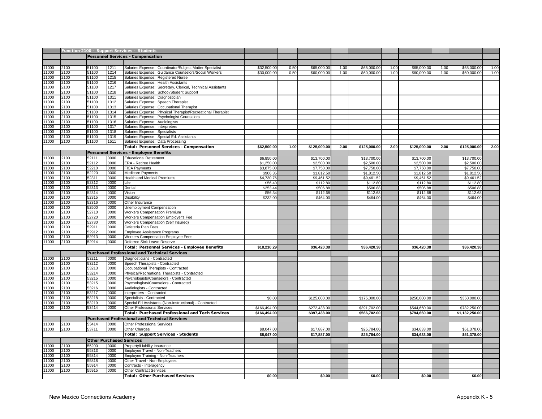|               |              |       |              | Tunction-2100 - Support Services - Students                 |                     |      |                      |      |                      |      |                      |      |                      |      |
|---------------|--------------|-------|--------------|-------------------------------------------------------------|---------------------|------|----------------------|------|----------------------|------|----------------------|------|----------------------|------|
|               |              |       |              |                                                             |                     |      |                      |      |                      |      |                      |      |                      |      |
|               |              |       |              | <b>Personnel Services - Compensation</b>                    |                     |      |                      |      |                      |      |                      |      |                      |      |
|               |              |       |              |                                                             |                     |      |                      |      |                      |      |                      |      |                      |      |
| 11000         | 2100         | 51100 | 1211         | Salaries Expense: Coordinator/Subject Matter Specialist     | \$32,500.00         | 0.50 | \$65,000.00          | 1.00 | \$65,000.00          | 1.00 | \$65,000.00          | 1.00 | \$65,000.00          | 1.00 |
| 11000         | 2100         | 51100 | 1214         | Salaries Expense: Guidance Counselors/Social Workers        | \$30,000.00         | 0.50 | \$60,000.00          | 1.00 | \$60,000.00          | 1.00 | \$60,000.00          | 1.00 | \$60,000.00          | 1.00 |
| 1000          | 2100         | 51100 | 1215         | Salaries Expense: Registered Nurse                          |                     |      |                      |      |                      |      |                      |      |                      |      |
| 1000          | 2100         | 51100 | 1216         | Salaries Expense: Health Assistants                         |                     |      |                      |      |                      |      |                      |      |                      |      |
| 1000          | 2100         | 51100 | 1217         | Salaries Expense: Secretary, Clerical, Technical Assistants |                     |      |                      |      |                      |      |                      |      |                      |      |
| 11000         | 2100         | 51100 | 1218         | Salaries Expense: School/Student Support                    |                     |      |                      |      |                      |      |                      |      |                      |      |
| 1000          | 2100         | 51100 | 1311         | Salaries Expense: Diagnostician                             |                     |      |                      |      |                      |      |                      |      |                      |      |
| 1000          | 2100         | 51100 | 1312         | Salaries Expense: Speech Therapist                          |                     |      |                      |      |                      |      |                      |      |                      |      |
| 1000          | 2100         | 51100 | 1313         | Salaries Expense: Occupational Therapist                    |                     |      |                      |      |                      |      |                      |      |                      |      |
| 1000          | 2100         | 51100 | 1314         | Salaries Expense: Physical Therapist/Recreational Therapist |                     |      |                      |      |                      |      |                      |      |                      |      |
| 1000          | 2100         | 51100 | 1315         | Salaries Expense: Psychologist Counselors                   |                     |      |                      |      |                      |      |                      |      |                      |      |
| 1000          | 2100         | 51100 | 1316         | Salaries Expense: Audiologists                              |                     |      |                      |      |                      |      |                      |      |                      |      |
| 1000          | 2100         | 51100 | 1317         | Salaries Expense: Interpreters                              |                     |      |                      |      |                      |      |                      |      |                      |      |
| 1000          | 2100         | 51100 | 1318         | Salaries Expense: Specialists                               |                     |      |                      |      |                      |      |                      |      |                      |      |
| 11000         | 2100         | 51100 | 1319         | Salaries Expense: Special Ed. Assistants                    |                     |      |                      |      |                      |      |                      |      |                      |      |
| 11000         | 2100         | 51100 | 1511         | Salaries Expense: Data Processing                           |                     |      |                      |      |                      |      |                      |      |                      |      |
|               |              |       |              | Total: Personnel Services - Compensation                    | \$62,500.00         | 1.00 | \$125,000.00         | 2.00 | \$125,000.00         | 2.00 | \$125,000.00         | 2.00 | \$125,000.00         | 2.00 |
|               |              |       |              | Personnel Services - Employee Benefits                      |                     |      |                      |      |                      |      |                      |      |                      |      |
| 11000         | 2100         | 52111 | 0000         | <b>Educational Retirement</b>                               | \$6,850.00          |      | \$13,700.00          |      | \$13,700.00          |      | \$13,700.00          |      | \$13,700.00          |      |
| 11000         | 2100         | 52112 | 0000         | ERA - Retiree Health                                        | \$1,250.00          |      | \$2,500.00           |      | \$2,500.00           |      | \$2,500.00           |      | \$2,500.00           |      |
| 11000         | 2100         | 52210 | 0000         | <b>FICA Payments</b>                                        | \$3,875.00          |      | \$7,750.00           |      | \$7,750.00           |      | \$7,750.00           |      | \$7,750.00           |      |
| 1000          | 2100         | 52220 | 0000         | Medicare Payments                                           | \$906.35            |      | \$1,812.50           |      | \$1,812.50           |      | \$1,812.50           |      | \$1,812.50           |      |
| 1000          | 2100         | 52311 | 0000         | Health and Medical Premiums                                 | \$4,730.76          |      | \$9,461.52           |      | \$9,461.52           |      | \$9,461.52           |      | \$9,461.52           |      |
| 1000          | 2100         | 52312 | 0000         | Life                                                        | \$56.40             |      | \$112.80             |      | \$112.80             |      | \$112.80             |      | \$112.80             |      |
| 1000          | 2100         | 52313 | 0000         | Dental                                                      | \$253.44            |      | \$506.88             |      | \$506.88             |      | \$506.88             |      | \$506.88             |      |
| 1000          | 2100         | 52314 | 0000         | Vision                                                      |                     |      |                      |      |                      |      |                      |      |                      |      |
| 1000          | 2100         | 52315 | 0000         | Disability                                                  | \$56.34<br>\$232.00 |      | \$112.68<br>\$464.00 |      | \$112.68<br>\$464.00 |      | \$112.68<br>\$464.00 |      | \$112.68<br>\$464.00 |      |
| 1000          |              | 52316 | 0000         |                                                             |                     |      |                      |      |                      |      |                      |      |                      |      |
| 1000          | 2100<br>2100 | 52500 | 0000         | Other Insurance                                             |                     |      |                      |      |                      |      |                      |      |                      |      |
|               | 2100         | 52710 |              | Unemployment Compensation                                   |                     |      |                      |      |                      |      |                      |      |                      |      |
| 11000<br>1000 | 2100         |       | 0000<br>0000 | Workers Compensation Premium                                |                     |      |                      |      |                      |      |                      |      |                      |      |
|               |              | 52720 |              | Workers Compensation Employer's Fee                         |                     |      |                      |      |                      |      |                      |      |                      |      |
| 1000          | 2100         | 52730 | 0000         | Workers Compensation (Self Insured)                         |                     |      |                      |      |                      |      |                      |      |                      |      |
| 1000          | 2100         | 52911 | 0000         | Cafeteria Plan Fees                                         |                     |      |                      |      |                      |      |                      |      |                      |      |
| 1000          | 2100         | 52912 | 0000         | Employee Assistance Programs                                |                     |      |                      |      |                      |      |                      |      |                      |      |
| 1000          | 2100         | 52913 | 0000         | Workers Compensation Employee Fees                          |                     |      |                      |      |                      |      |                      |      |                      |      |
| 11000         | 2100         | 52914 | 0000         | Deferred Sick Leave Reserve                                 |                     |      |                      |      |                      |      |                      |      |                      |      |
|               |              |       |              | Total: Personnel Services - Employee Benefits               | \$18,210.29         |      | \$36,420.38          |      | \$36,420.38          |      | \$36,420.38          |      | \$36,420.38          |      |
|               |              |       |              | <b>Purchased Professional and Technical Services</b>        |                     |      |                      |      |                      |      |                      |      |                      |      |
| 1000          | 2100         | 53211 | 0000         | Diagnosticians - Contracted                                 |                     |      |                      |      |                      |      |                      |      |                      |      |
| 11000         | 2100         | 53212 | 0000         | Speech Therapists - Contracted                              |                     |      |                      |      |                      |      |                      |      |                      |      |
| 1000          | 2100         | 53213 | 0000         | Occupational Therapists - Contracted                        |                     |      |                      |      |                      |      |                      |      |                      |      |
| 1000          | 2100         | 53214 | 0000         | Physical/Recreational Therapists - Contracted               |                     |      |                      |      |                      |      |                      |      |                      |      |
| 1000          | 2100         | 53215 | 0000         | Psychologists/Counselors - Contracted                       |                     |      |                      |      |                      |      |                      |      |                      |      |
| 11000         | 2100         | 53215 | 0000         | Psychologists/Counselors - Contracted                       |                     |      |                      |      |                      |      |                      |      |                      |      |
| 11000         | 2100         | 53216 | 0000         | Audiologists - Contracted                                   |                     |      |                      |      |                      |      |                      |      |                      |      |
| 1000          | 2100         | 53217 | 0000         | Interpreters - Contracted                                   |                     |      |                      |      |                      |      |                      |      |                      |      |
| 1000          | 2100         | 53218 | 0000         | Specialists - Contracted                                    | \$0.00              |      | \$125,000.00         |      | \$175,000.00         |      | \$250,000.00         |      | \$350,000.00         |      |
| 1000          | 2100         | 53219 | 0000         | Special Ed Assistants (Non-Instructional) - Contracted      |                     |      |                      |      |                      |      |                      |      |                      |      |
| 11000         | 2100         | 53414 | 0000         | <b>Other Professional Services</b>                          | \$166,494.00        |      | \$272,438.00         |      | \$391,702.00         |      | \$544,660.00         |      | \$782,250.00         |      |
|               |              |       |              | Total: Purchased Professional and Tech Services             | \$166,494.00        |      | \$397,438.00         |      | \$566,702.00         |      | \$794,660.00         |      | \$1,132,250.00       |      |
|               |              |       |              | <b>Purchased Professional and Technical Services</b>        |                     |      |                      |      |                      |      |                      |      |                      |      |
|               |              |       |              |                                                             |                     |      |                      |      |                      |      |                      |      |                      |      |
| 11000         | 2100         | 53414 | 0000         | Other Professional Services                                 |                     |      |                      |      |                      |      |                      |      |                      |      |
| 11000         | 2100         | 53711 | 0000         | Other Charges                                               | \$8,047.00          |      | \$17,887.00          |      | \$25,784.00          |      | \$34,633.00          |      | \$51,378.00          |      |
|               |              |       |              | <b>Total: Support Services - Students</b>                   | \$8,047.00          |      | \$17,887.00          |      | \$25,784.00          |      | \$34,633.00          |      | \$51,378.00          |      |
|               |              |       |              | <b>Other Purchased Services</b>                             |                     |      |                      |      |                      |      |                      |      |                      |      |
| 11000         | 2100         | 55200 | 0000         | Property/Liability Insurance                                |                     |      |                      |      |                      |      |                      |      |                      |      |
| 11000         | 2100         | 55813 | 0000         | Employee Travel - Non-Teachers                              |                     |      |                      |      |                      |      |                      |      |                      |      |
| 1000          | 2100         | 55814 | 0000         | Employee Training - Non-Teachers                            |                     |      |                      |      |                      |      |                      |      |                      |      |
| 1000          | 2100         | 55818 | 0000         | Other Travel - Non-Employees                                |                     |      |                      |      |                      |      |                      |      |                      |      |
| 11000         | 2100         | 55914 | 0000         | Contracts - Interagency                                     |                     |      |                      |      |                      |      |                      |      |                      |      |
| 11000         | 2100         | 55915 | 0000         | <b>Other Contract Services</b>                              |                     |      |                      |      |                      |      |                      |      |                      |      |
|               |              |       |              | <b>Total: Other Purchased Services</b>                      | \$0.00              |      | \$0.00               |      | \$0.00               |      | \$0.00               |      | \$0.00               |      |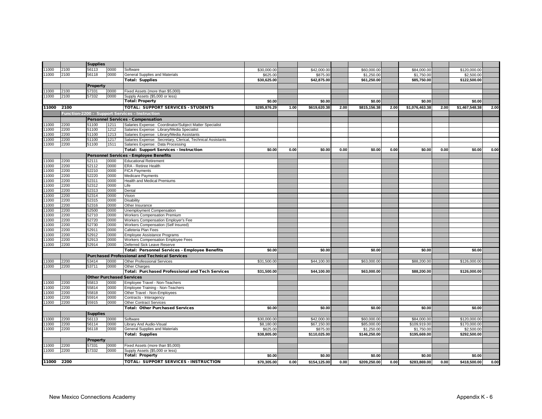|               |              | <b>Supplies</b> |              |                                                                                                       |              |      |              |      |              |      |                |      |                |      |
|---------------|--------------|-----------------|--------------|-------------------------------------------------------------------------------------------------------|--------------|------|--------------|------|--------------|------|----------------|------|----------------|------|
| 11000         | 2100         | 56113           | 0000         | Software                                                                                              | \$30,000.00  |      | \$42,000.00  |      | \$60,000.00  |      | \$84,000.00    |      | \$120,000.00   |      |
| 11000         | 2100         | 56118           | 0000         | General Supplies and Materials                                                                        | \$625.00     |      | \$875.00     |      | \$1,250.00   |      | \$1,750.00     |      | \$2,500.00     |      |
|               |              |                 |              | <b>Total: Supplies</b>                                                                                | \$30,625.00  |      | \$42,875.00  |      | \$61,250.00  |      | \$85,750.00    |      | \$122,500.00   |      |
|               |              | <b>Property</b> |              |                                                                                                       |              |      |              |      |              |      |                |      |                |      |
| 11000         | 2100         | 57331           | 0000         | Fixed Assets (more than \$5,000)                                                                      |              |      |              |      |              |      |                |      |                |      |
| 11000         | 2100         | 57332           | 0000         | Supply Assets (\$5,000 or less)                                                                       |              |      |              |      |              |      |                |      |                |      |
|               |              |                 |              | <b>Total: Property</b>                                                                                | \$0.00       |      | \$0.00       |      | \$0.00       |      | \$0.00         |      | \$0.00         |      |
| 11000         | 2100         |                 |              | TOTAL: SUPPORT SERVICES - STUDENTS                                                                    | \$285,876.29 | 1.00 | \$619,620.38 | 2.00 | \$815,156.38 | 2.00 | \$1,076,463.38 | 2.00 | \$1,467,548.38 | 2.00 |
|               |              |                 |              | Function-2200 - Support Services - Instruction                                                        |              |      |              |      |              |      |                |      |                |      |
|               |              |                 |              | <b>Personnel Services - Compensation</b>                                                              |              |      |              |      |              |      |                |      |                |      |
|               |              |                 |              |                                                                                                       |              |      |              |      |              |      |                |      |                |      |
| 11000<br>1000 | 2200<br>2200 | 51100<br>51100  | 1211<br>1212 | Salaries Expense: Coordinator/Subject Matter Specialist<br>Salaries Expense: Library/Media Specialist |              |      |              |      |              |      |                |      |                |      |
| 11000         | 2200         | 51100           | 1213         | Salaries Expense: Library/Media Assistants                                                            |              |      |              |      |              |      |                |      |                |      |
| 11000         | 2200         | 51100           | 1217         | Salaries Expense: Secretary, Clerical, Technical Assistants                                           |              |      |              |      |              |      |                |      |                |      |
| 11000         | 2200         | 51100           | 1511         | Salaries Expense: Data Processing                                                                     |              |      |              |      |              |      |                |      |                |      |
|               |              |                 |              | <b>Total: Support Services - Instruction</b>                                                          | \$0.00       | 0.00 | \$0.00       | 0.00 | \$0.00       | 0.00 | \$0.00         | 0.00 | \$0.00         | 0.00 |
|               |              |                 |              | Personnel Services - Employee Benefits                                                                |              |      |              |      |              |      |                |      |                |      |
| 11000         | 2200         | 52111           | 0000         | <b>Educational Retirement</b>                                                                         |              |      |              |      |              |      |                |      |                |      |
| 11000         | 2200         | 52112           | 0000         | ERA - Retiree Health                                                                                  |              |      |              |      |              |      |                |      |                |      |
| 1000          | 2200         | 52210           | 0000         | <b>FICA Payments</b>                                                                                  |              |      |              |      |              |      |                |      |                |      |
| 1000          | 2200         | 52220           | 0000         | <b>Medicare Payments</b>                                                                              |              |      |              |      |              |      |                |      |                |      |
| 11000         | 2200         | 52311           | 0000         | <b>Health and Medical Premiums</b>                                                                    |              |      |              |      |              |      |                |      |                |      |
| 11000         | 2200         | 52312           | 0000         | Life                                                                                                  |              |      |              |      |              |      |                |      |                |      |
| 11000         | 2200         | 52313           | 0000         | Dental                                                                                                |              |      |              |      |              |      |                |      |                |      |
| 1000          | 2200         | 52314           | 0000         | Vision                                                                                                |              |      |              |      |              |      |                |      |                |      |
| 11000         | 2200         | 52315           | 0000         | <b>Disability</b>                                                                                     |              |      |              |      |              |      |                |      |                |      |
| 11000         | 2200         | 52316           | 0000         | Other Insurance                                                                                       |              |      |              |      |              |      |                |      |                |      |
| 11000         | 2200         | 52500           | 0000         | <b>Unemployment Compensation</b>                                                                      |              |      |              |      |              |      |                |      |                |      |
| 11000         | 2200         | 52710           | 0000         | <b>Workers Compensation Premium</b>                                                                   |              |      |              |      |              |      |                |      |                |      |
| 1000          | 2200         | 52720           | 0000         | Workers Compensation Employer's Fee                                                                   |              |      |              |      |              |      |                |      |                |      |
| 11000         | 2200         | 52730           | 0000         | Workers Compensation (Self Insured)                                                                   |              |      |              |      |              |      |                |      |                |      |
| 1000          | 2200         | 52911           | 0000         | Cafeteria Plan Fees                                                                                   |              |      |              |      |              |      |                |      |                |      |
| 11000         | 2200         | 52912           | 0000         | Employee Assistance Programs                                                                          |              |      |              |      |              |      |                |      |                |      |
| 1000          | 2200         | 52913           | 0000         | Workers Compensation Employee Fees                                                                    |              |      |              |      |              |      |                |      |                |      |
| 1000          | 2200         | 52914           | 0000         | Deferred Sick Leave Reserve                                                                           |              |      |              |      |              |      |                |      |                |      |
|               |              |                 |              | Total: Personnel Services - Employee Benefits                                                         | \$0.00       |      | \$0.00       |      | \$0.00       |      | \$0.00         |      | \$0.00         |      |
|               |              |                 |              | <b>Purchased Professional and Technical Services</b>                                                  |              |      |              |      |              |      |                |      |                |      |
| 1000          | 2200         | 53414           | 0000         | <b>Other Professional Services</b>                                                                    | \$31,500.00  |      | \$44,100.00  |      | \$63,000.00  |      | \$88,200.00    |      | \$126,000.00   |      |
| 11000         | 2200         | 53711           | 0000         | Other Charges                                                                                         |              |      |              |      |              |      |                |      |                |      |
|               |              |                 |              | <b>Total: Purchased Professional and Tech Services</b>                                                | \$31,500.00  |      | \$44,100.00  |      | \$63,000.00  |      | \$88,200.00    |      | \$126,000.00   |      |
|               |              |                 |              | <b>Other Purchased Services</b>                                                                       |              |      |              |      |              |      |                |      |                |      |
| 11000         | 2200         | 55813           | 0000         | Employee Travel - Non-Teachers                                                                        |              |      |              |      |              |      |                |      |                |      |
| 11000         | 2200         | 55814           | 0000         | Employee Training - Non-Teachers                                                                      |              |      |              |      |              |      |                |      |                |      |
| 11000         | 2200         | 55818           | 0000         | Other Travel - Non-Employees                                                                          |              |      |              |      |              |      |                |      |                |      |
| 11000         | 2200         | 55914           | 0000         | Contracts - Interagency                                                                               |              |      |              |      |              |      |                |      |                |      |
| 11000         | 2200         | 55915           | 0000         | <b>Other Contract Services</b>                                                                        |              |      |              |      |              |      |                |      |                |      |
|               |              |                 |              | <b>Total: Other Purchased Services</b>                                                                | \$0.00       |      | \$0.00       |      | \$0.00       |      | \$0.00         |      | \$0.00         |      |
|               |              | <b>Supplies</b> |              |                                                                                                       |              |      |              |      |              |      |                |      |                |      |
| 1000          | 2200         | 56113           | 0000         | Software                                                                                              | \$30,000.00  |      | \$42,000.00  |      | \$60,000.00  |      | \$84,000.00    |      | \$120,000.00   |      |
| 1000          | 2200         | 56114           | 0000         | Library And Audio-Visual                                                                              | \$8,180.00   |      | \$67,150.00  |      | \$85,000.00  |      | \$109,919.00   |      | \$170,000.00   |      |
| 1000          | 2200         | 56118           | 0000         | General Supplies and Materials                                                                        | \$625.00     |      | \$875.00     |      | \$1,250.00   |      | \$1,750.00     |      | \$2,500.00     |      |
|               |              |                 |              | <b>Total: Supplies</b>                                                                                | \$38,805.00  |      | \$110,025.00 |      | \$146,250.00 |      | \$195,669.00   |      | \$292,500.00   |      |
|               |              | Property        |              |                                                                                                       |              |      |              |      |              |      |                |      |                |      |
| 1000          | 2200         | 57331           | 0000         | Fixed Assets (more than \$5,000)                                                                      |              |      |              |      |              |      |                |      |                |      |
| 11000         | 2200         | 57332           | 0000         | Supply Assets (\$5,000 or less)                                                                       |              |      |              |      |              |      |                |      |                |      |
|               |              |                 |              | <b>Total: Property</b>                                                                                | \$0.00       |      | \$0.00       |      | \$0.00       |      | \$0.00         |      | \$0.00         |      |
| 11000         | 2200         |                 |              | <b>TOTAL: SUPPORT SERVICES - INSTRUCTION</b>                                                          | \$70,305.00  | 0.00 |              | 0.00 | \$209,250.00 | 0.00 | \$283,869.00   | 0.00 | \$418,500.00   | 0.00 |
|               |              |                 |              |                                                                                                       |              |      | \$154,125.00 |      |              |      |                |      |                |      |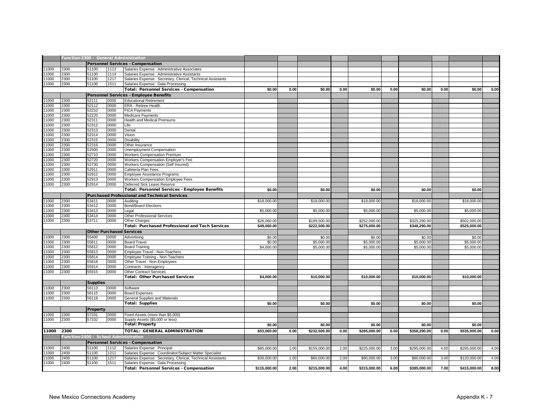|       | Function-2300 - General Administration<br><b>Personnel Services - Compensation</b> |                                       |      |                                                             |              |      |              |      |              |      |              |      |              |      |
|-------|------------------------------------------------------------------------------------|---------------------------------------|------|-------------------------------------------------------------|--------------|------|--------------|------|--------------|------|--------------|------|--------------|------|
|       |                                                                                    |                                       |      |                                                             |              |      |              |      |              |      |              |      |              |      |
| 11000 | 2300                                                                               | 51100                                 | 1113 | Salaries Expense: Administrative Associates                 |              |      |              |      |              |      |              |      |              |      |
| 11000 | 2300                                                                               | 51100                                 | 1114 | Salaries Expense: Administrative Assistants                 |              |      |              |      |              |      |              |      |              |      |
| 1000  | 2300                                                                               | 51100                                 | 1217 | Salaries Expense: Secretary, Clerical, Technical Assistants |              |      |              |      |              |      |              |      |              |      |
| 11000 | 2300                                                                               | 51100                                 | 1511 | Salaries Expense: Data Processing                           |              |      |              |      |              |      |              |      |              |      |
|       |                                                                                    |                                       |      | Total: Personnel Services - Compensation                    | \$0.00       | 0.00 | \$0.00       | 0.00 | \$0.00       | 0.00 | \$0.00       | 0.00 | \$0.00       | 0.00 |
|       |                                                                                    |                                       |      | <b>Personnel Services - Employee Benefits</b>               |              |      |              |      |              |      |              |      |              |      |
| 11000 | 2300                                                                               | 52111                                 | 0000 | <b>Educational Retirement</b>                               |              |      |              |      |              |      |              |      |              |      |
| 11000 | 2300                                                                               | 52112                                 | 0000 | ERA - Retiree Health                                        |              |      |              |      |              |      |              |      |              |      |
| 11000 | 2300                                                                               | 52210                                 | 0000 | <b>FICA Payments</b>                                        |              |      |              |      |              |      |              |      |              |      |
| 11000 | 2300                                                                               | 52220                                 | 0000 |                                                             |              |      |              |      |              |      |              |      |              |      |
|       |                                                                                    |                                       |      | Medicare Payments                                           |              |      |              |      |              |      |              |      |              |      |
| 11000 | 2300                                                                               | 52311                                 | 0000 | Health and Medical Premiums                                 |              |      |              |      |              |      |              |      |              |      |
| 11000 | 2300                                                                               | 52312                                 | 0000 | Life                                                        |              |      |              |      |              |      |              |      |              |      |
| 11000 | 2300                                                                               | 52313                                 | 0000 | Dental                                                      |              |      |              |      |              |      |              |      |              |      |
| 11000 | 2300                                                                               | 52314                                 | 0000 | Vision                                                      |              |      |              |      |              |      |              |      |              |      |
| 11000 | 2300                                                                               | 52315                                 | 0000 | <b>Disability</b>                                           |              |      |              |      |              |      |              |      |              |      |
| 11000 | 2300                                                                               | 52316                                 | 0000 | Other Insurance                                             |              |      |              |      |              |      |              |      |              |      |
| 11000 | 2300                                                                               | 52500                                 | 0000 | Unemployment Compensation                                   |              |      |              |      |              |      |              |      |              |      |
| 11000 | 2300                                                                               | 52710                                 | 0000 | <b>Workers Compensation Premium</b>                         |              |      |              |      |              |      |              |      |              |      |
| 11000 | 2300                                                                               | 52720                                 | 0000 | Workers Compensation Employer's Fee                         |              |      |              |      |              |      |              |      |              |      |
| 11000 | 2300                                                                               | 52730                                 | 0000 | Workers Compensation (Self Insured)                         |              |      |              |      |              |      |              |      |              |      |
| 11000 | 2300                                                                               | 52911                                 | 0000 | Cafeteria Plan Fees                                         |              |      |              |      |              |      |              |      |              |      |
| 11000 | 2300                                                                               | 52912                                 | 0000 | Employee Assistance Programs                                |              |      |              |      |              |      |              |      |              |      |
| 11000 | 2300                                                                               | 52913                                 | 0000 | Workers Compensation Employee Fees                          |              |      |              |      |              |      |              |      |              |      |
| 11000 | 2300                                                                               | 52914                                 | 0000 | Deferred Sick Leave Reserve                                 |              |      |              |      |              |      |              |      |              |      |
|       |                                                                                    |                                       |      | Total: Personnel Services - Employee Benefits               | \$0.00       |      | \$0.00       |      | \$0.00       |      | \$0.00       |      | \$0.00       |      |
|       |                                                                                    |                                       |      |                                                             |              |      |              |      |              |      |              |      |              |      |
|       |                                                                                    |                                       |      | <b>Purchased Professional and Technical Services</b>        |              |      |              |      |              |      |              |      |              |      |
| 11000 | 2300                                                                               | 53411                                 | 0000 | Auditing                                                    | \$18,000.00  |      | \$18,000.00  |      | \$18,000.00  |      | \$18,000.00  |      | \$18,000.00  |      |
| 11000 | 2300                                                                               | 53412                                 | 0000 | <b>Bond/Board Elections</b>                                 |              |      |              |      |              |      |              |      |              |      |
| 11000 | 2300                                                                               | 53413                                 | 0000 | Legal                                                       | \$5,000.00   |      | \$5,000.00   |      | \$5,000.00   |      | \$5,000.00   |      | \$5,000.00   |      |
| 11000 | 2300                                                                               | 53414                                 | 0000 | <b>Other Professional Services</b>                          |              |      |              |      |              |      |              |      |              |      |
| 11000 | 2300                                                                               | 53711                                 | 0000 | <b>Other Charges</b>                                        | \$26,060.00  |      | \$199,500.00 |      | \$252,000.00 |      | \$325,290.00 |      | \$502,000.00 |      |
|       |                                                                                    |                                       |      | Total: Purchased Professional and Tech Services             | \$49,060.00  |      | \$222,500.00 |      | \$275,000.00 |      | \$348,290.00 |      | \$525,000.00 |      |
|       |                                                                                    |                                       |      | <b>Other Purchased Services</b>                             |              |      |              |      |              |      |              |      |              |      |
| 11000 | 2300                                                                               | 55400                                 | 0000 | Advertising                                                 | \$0.00       |      | \$0.00       |      | \$0.00       |      | \$0.00       |      | \$0.00       |      |
| 11000 | 2300                                                                               | 55811                                 | 0000 | <b>Board Travel</b>                                         | \$0.00       |      | \$5,000.00   |      | \$5,000.00   |      | \$5,000.00   |      | \$5,000.00   |      |
| 11000 | 2300                                                                               | 55812                                 | 0000 | <b>Board Training</b>                                       | \$4,000.00   |      | \$5,000.00   |      | \$5,000.00   |      | \$5,000.00   |      | \$5,000.00   |      |
| 11000 | 2300                                                                               | 55813                                 | 0000 | Employee Travel - Non-Teachers                              |              |      |              |      |              |      |              |      |              |      |
| 11000 | 2300                                                                               | 55814                                 | 0000 |                                                             |              |      |              |      |              |      |              |      |              |      |
| 1000  | 2300                                                                               |                                       | 0000 | Employee Training - Non-Teachers                            |              |      |              |      |              |      |              |      |              |      |
| 11000 |                                                                                    | 55818                                 |      | Other Travel - Non-Employees                                |              |      |              |      |              |      |              |      |              |      |
|       | 2300                                                                               | 55914                                 | 0000 | Contracts - Interagency                                     |              |      |              |      |              |      |              |      |              |      |
| 11000 | 2300                                                                               | 55915                                 | 0000 | <b>Other Contract Services</b>                              |              |      |              |      |              |      |              |      |              |      |
|       |                                                                                    |                                       |      | <b>Total: Other Purchased Services</b>                      | \$4,000.00   |      | \$10,000.00  |      | \$10,000.00  |      | \$10,000.00  |      | \$10,000.00  |      |
|       |                                                                                    | <b>Supplies</b>                       |      |                                                             |              |      |              |      |              |      |              |      |              |      |
| 11000 | 2300                                                                               | 56113                                 | 0000 | Software                                                    |              |      |              |      |              |      |              |      |              |      |
| 11000 | 2300                                                                               | 56115                                 | 0000 | <b>Board Expenses</b>                                       |              |      |              |      |              |      |              |      |              |      |
| 11000 | 2300                                                                               | 56118                                 | 0000 | General Supplies and Materials                              |              |      |              |      |              |      |              |      |              |      |
|       |                                                                                    |                                       |      | <b>Total: Supplies</b>                                      | \$0.00       |      | \$0.00       |      | \$0.00       |      | \$0.00       |      | \$0.00       |      |
|       |                                                                                    |                                       |      |                                                             |              |      |              |      |              |      |              |      |              |      |
|       |                                                                                    | Property                              |      |                                                             |              |      |              |      |              |      |              |      |              |      |
| 11000 | 2300                                                                               | 57331                                 | 0000 | Fixed Assets (more than \$5,000)                            |              |      |              |      |              |      |              |      |              |      |
| 11000 | 2300                                                                               | 57332                                 | 0000 | Supply Assets (\$5,000 or less)                             |              |      |              |      |              |      |              |      |              |      |
|       |                                                                                    |                                       |      | <b>Total: Property</b>                                      | \$0.00       |      | \$0.00       |      | \$0.00       |      | \$0.00       |      | \$0.00       |      |
| 11000 | 2300                                                                               |                                       |      | <b>TOTAL: GENERAL ADMINISTRATION</b>                        | \$53,060.00  | 0.00 | \$232,500.00 | 0.00 | \$285,000.00 | 0.00 | \$358,290.00 | 0.00 | \$535,000.00 | 0.00 |
|       |                                                                                    | Function-2400 - School Administration |      |                                                             |              |      |              |      |              |      |              |      |              |      |
|       |                                                                                    |                                       |      |                                                             |              |      |              |      |              |      |              |      |              |      |
|       |                                                                                    |                                       |      | <b>Personnel Services - Compensation</b>                    |              |      |              |      |              |      |              |      |              |      |
| 11000 | 2400                                                                               | 51100                                 | 1112 | Salaries Expense: Principal                                 | \$85,000.00  | 1.00 | \$155,000.00 | 2.00 | \$225,000.00 | 3.00 | \$295,000.00 | 4.00 | \$295,000.00 | 4.00 |
| 11000 | 2400                                                                               | 51100                                 | 1211 | Salaries Expense: Coordinator/Subject Matter Specialist     |              |      |              |      |              |      |              |      |              |      |
| 11000 | 2400                                                                               | 51100                                 | 1217 | Salaries Expense: Secretary, Clerical, Technical Assistants | \$30,000.0   | 1.00 | \$60,000.00  | 2.00 | \$90,000.00  | 3.00 | \$90,000.00  | 3.00 | \$120,000.00 | 4.00 |
| 11000 | 2400                                                                               | 51100                                 | 1511 | Salaries Expense: Data Processing                           |              |      |              |      |              |      |              |      |              |      |
|       |                                                                                    |                                       |      | <b>Total: Personnel Services - Compensation</b>             | \$115,000.00 | 2.00 | \$215,000.00 | 4.00 | \$315,000.00 | 6.00 | \$385,000.00 | 7.00 | \$415,000.00 | 8.00 |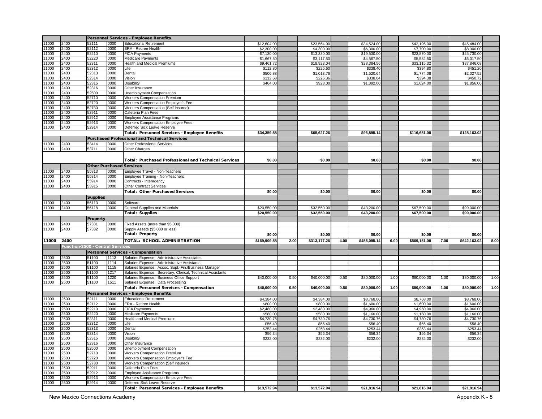|               |              |                                 |              | Personnel Services - Employee Benefits                                       |              |      |              |      |              |      |              |      |              |              |
|---------------|--------------|---------------------------------|--------------|------------------------------------------------------------------------------|--------------|------|--------------|------|--------------|------|--------------|------|--------------|--------------|
| 11000         | 2400         | 52111                           | 0000         | <b>Educational Retirement</b>                                                | \$12,604.00  |      | \$23,564.00  |      | \$34,524.00  |      | \$42,196.00  |      | \$45,484.00  |              |
| 11000         | 2400         | 52112                           | 0000         | <b>ERA - Retiree Health</b>                                                  | \$2,300.00   |      | \$4,300.00   |      | \$6,300.00   |      | \$7,700.00   |      | \$8,300.00   |              |
| 1000          | 2400         | 52210                           | 0000         | <b>FICA Payments</b>                                                         | \$7,130.00   |      | \$13,330.00  |      | \$19,530.00  |      | \$23,870.00  |      | \$25,730.00  |              |
| 11000         | 2400         | 52220                           | 0000         | Medicare Payments                                                            | \$1,667.50   |      | \$3,117.50   |      | \$4,567.50   |      | \$5,582.50   |      | \$6,017.50   |              |
| 11000         | 2400         | 52311                           | 0000         | <b>Health and Medical Premiums</b>                                           | \$9,461.72   |      | \$18,923.04  |      | \$28,384.56  |      | \$33,115.32  |      | \$37,846.08  |              |
| 11000         | 2400         | 52312                           | 0000         | Life                                                                         | \$112.80     |      | \$225.60     |      | \$338.40     |      | \$394.80     |      | \$451.20     |              |
| 1000<br>11000 | 2400         | 52313                           | 0000         | Dental                                                                       | \$506.88     |      | \$1,013.76   |      | \$1,520.64   |      | \$1,774.08   |      | \$2,027.52   |              |
| 1000          | 2400         | 52314<br>52315                  | 0000         | Vision                                                                       | \$112.68     |      | \$225.36     |      | \$338.04     |      | \$394.38     |      | \$450.72     |              |
| 11000         | 2400<br>2400 | 52316                           | 0000<br>0000 | Disability<br>Other Insurance                                                | \$464.00     |      | \$928.00     |      | \$1,392.00   |      | \$1,624.00   |      | \$1,856.00   |              |
| 11000         | 2400         | 52500                           | 0000         | Unemployment Compensation                                                    |              |      |              |      |              |      |              |      |              |              |
| 1000          | 2400         | 52710                           | 0000         | <b>Workers Compensation Premium</b>                                          |              |      |              |      |              |      |              |      |              |              |
| 1000          | 2400         | 52720                           | 0000         | Workers Compensation Employer's Fee                                          |              |      |              |      |              |      |              |      |              |              |
| 1000          | 2400         | 52730                           | 0000         | <b>Workers Compensation (Self Insured)</b>                                   |              |      |              |      |              |      |              |      |              |              |
| 11000         | 2400         | 52911                           | 0000         | Cafeteria Plan Fees                                                          |              |      |              |      |              |      |              |      |              |              |
| 11000         | 2400         | 52912                           | 0000         | Employee Assistance Programs                                                 |              |      |              |      |              |      |              |      |              |              |
| 11000         | 2400         | 52913                           | 0000         | Workers Compensation Employee Fees                                           |              |      |              |      |              |      |              |      |              |              |
| 11000         | 2400         | 52914                           | 0000         | Deferred Sick Leave Reserve                                                  |              |      |              |      |              |      |              |      |              |              |
|               |              |                                 |              | Total: Personnel Services - Employee Benefits                                | \$34,359.58  |      | \$65,627.26  |      | \$96,895.14  |      | \$116,651.08 |      | \$128,163.02 |              |
|               |              |                                 |              | <b>Purchased Professional and Technical Services</b>                         |              |      |              |      |              |      |              |      |              |              |
| 11000         | 2400         | 53414                           | 0000         | <b>Other Professional Services</b>                                           |              |      |              |      |              |      |              |      |              |              |
| 11000         | 2400         | 53711                           | 0000         | Other Charges                                                                |              |      |              |      |              |      |              |      |              |              |
|               |              |                                 |              |                                                                              |              |      |              |      |              |      |              |      |              |              |
|               |              |                                 |              | Total: Purchased Professional and Technical Services                         | \$0.00       |      | \$0.00       |      | \$0.00       |      | \$0.00       |      | \$0.00       |              |
|               |              |                                 |              | <b>Other Purchased Services</b>                                              |              |      |              |      |              |      |              |      |              |              |
| 1000          | 2400         | 55813                           | 0000         | Employee Travel - Non-Teachers                                               |              |      |              |      |              |      |              |      |              |              |
| 1000          | 2400         | 55814                           | 0000         | Employee Training - Non-Teachers                                             |              |      |              |      |              |      |              |      |              |              |
| 1000          | 2400         | 55914                           | 0000         | Contracts - Interagency                                                      |              |      |              |      |              |      |              |      |              |              |
| 1000          | 2400         | 55915                           | 0000         | <b>Other Contract Services</b>                                               |              |      |              |      |              |      |              |      |              |              |
|               |              |                                 |              | <b>Total: Other Purchased Services</b>                                       | \$0.00       |      | \$0.00       |      | \$0.00       |      | \$0.00       |      | \$0.00       |              |
|               |              | <b>Supplies</b>                 |              |                                                                              |              |      |              |      |              |      |              |      |              |              |
| 11000         | 2400         | 56113                           | 0000         | Software                                                                     |              |      |              |      |              |      |              |      |              |              |
| 11000         | 2400         | 56118                           | 0000         | General Supplies and Materials                                               | \$20,550.00  |      | \$32,550.00  |      | \$43,200.00  |      | \$67,500.00  |      | \$99,000.00  |              |
|               |              |                                 |              | <b>Total: Supplies</b>                                                       | \$20,550.00  |      | \$32,550.00  |      | \$43,200.00  |      | \$67,500.00  |      | \$99,000.00  |              |
|               |              |                                 |              |                                                                              |              |      |              |      |              |      |              |      |              |              |
|               |              | Property                        |              |                                                                              |              |      |              |      |              |      |              |      |              |              |
| 11000         |              |                                 |              |                                                                              |              |      |              |      |              |      |              |      |              |              |
|               | 2400         | 57331                           | 0000         | Fixed Assets (more than \$5,000)                                             |              |      |              |      |              |      |              |      |              |              |
| 11000         | 2400         | 57332                           | 0000         | Supply Assets (\$5,000 or less)                                              |              |      |              |      |              |      |              |      |              |              |
|               |              |                                 |              | <b>Total: Property</b>                                                       | \$0.00       |      | \$0.00       |      | \$0.00       |      | \$0.00       |      | \$0.00       |              |
| 11000         | 2400         |                                 |              | <b>TOTAL: SCHOOL ADMINISTRATION</b>                                          | \$169,909.58 | 2.00 | \$313,177.26 | 4.00 | \$455,095.14 | 6.00 | \$569,151.08 | 7.00 | \$642,163.02 |              |
|               |              | unction-2500 - Central Services |              |                                                                              |              |      |              |      |              |      |              |      |              |              |
|               |              |                                 |              | <b>Personnel Services - Compensation</b>                                     |              |      |              |      |              |      |              |      |              |              |
| 11000         | 2500         | 51100                           | 1113         | Salaries Expense: Administrative Associates                                  |              |      |              |      |              |      |              |      |              | 8.00         |
| 11000         | 2500         | 51100                           | 1114         | Salaries Expense: Administrative Assistants                                  |              |      |              |      |              |      |              |      |              |              |
| 11000         | 2500         | 51100                           | 1115         | Salaries Expense: Assoc. Supt.-Fin./Business Manager                         |              |      |              |      |              |      |              |      |              |              |
| 1000          | 2500         | 51100                           | 1217         | Salaries Expense: Secretary, Clerical, Technical Assistants                  |              |      |              |      |              |      |              |      |              |              |
| 1000          | 2500         | 51100                           | 1220         | Salaries Expense: Business Office Support                                    | \$40,000.00  | 0.50 | \$40,000.00  | 0.50 | \$80,000.00  | 1.00 | \$80,000.00  | 1.00 | \$80,000.00  |              |
| 11000         | 2500         | 51100                           | 1511         | Salaries Expense: Data Processing                                            |              |      |              |      |              |      |              |      |              |              |
|               |              |                                 |              | Total: Personnel Services - Compensation                                     | \$40,000.00  | 0.50 | \$40,000.00  | 0.50 | \$80,000.00  | 1.00 | \$80,000.00  | 1.00 | \$80,000.00  |              |
|               |              |                                 |              | <b>Personnel Services - Employee Benefits</b>                                |              |      |              |      |              |      |              |      |              | 1.00<br>1.00 |
| 11000         | 2500         | 52111                           | 0000         | <b>Educational Retirement</b>                                                | \$4,384.00   |      | \$4,384.00   |      | \$8,768.00   |      | \$8,768.00   |      | \$8,768.00   |              |
| 11000         | 2500         | 52112                           | 0000         | ERA - Retiree Health                                                         | \$800.00     |      | \$800.00     |      | \$1,600.00   |      | \$1,600.00   |      | \$1,600.00   |              |
| 11000         | 2500         | 52210                           | 0000         | <b>FICA Payments</b>                                                         | \$2,480.00   |      | \$2,480.00   |      | \$4,960.00   |      | \$4,960.00   |      | \$4,960.00   |              |
| 11000         | 2500         | 52220                           | 0000         | <b>Medicare Payments</b>                                                     | \$580.00     |      | \$580.00     |      | \$1,160.00   |      | \$1,160.00   |      | \$1,160.00   |              |
| 11000         | 2500         | 52311                           | 0000         | <b>Health and Medical Premiums</b>                                           | \$4,730.76   |      | \$4,730.76   |      | \$4,730.76   |      | \$4,730.76   |      | \$4,730.76   |              |
| 1000          | 2500         | 52312                           | 0000         | Life                                                                         | \$56.40      |      | \$56.40      |      | \$56.40      |      | \$56.40      |      | \$56.40      |              |
| 1000          | 2500         | 52313                           | 0000         | Dental                                                                       | \$253.44     |      | \$253.44     |      | \$253.44     |      | \$253.44     |      | \$253.44     |              |
| 1000          | 2500         | 52314                           | 0000         | Vision                                                                       | \$56.34      |      | \$56.34      |      | \$56.34      |      | \$56.34      |      | \$56.34      |              |
| 11000         | 2500         | 52315                           | 0000         | <b>Disability</b>                                                            | \$232.00     |      | \$232.00     |      | \$232.00     |      | \$232.00     |      | \$232.00     |              |
| 11000         | 2500         | 52316                           | 0000         | Other Insurance                                                              |              |      |              |      |              |      |              |      |              |              |
| 11000         | 2500         | 52500                           | 0000         | Unemployment Compensation                                                    |              |      |              |      |              |      |              |      |              |              |
| 11000         | 2500         | 52710                           | 0000         | <b>Workers Compensation Premium</b>                                          |              |      |              |      |              |      |              |      |              |              |
| 11000         | 2500         | 52720                           | 0000         | Workers Compensation Employer's Fee                                          |              |      |              |      |              |      |              |      |              |              |
| 1000          | 2500         | 52730                           | 0000         | <b>Workers Compensation (Self Insured)</b>                                   |              |      |              |      |              |      |              |      |              |              |
| 1000          | 2500         | 52911                           | 0000         | Cafeteria Plan Fees                                                          |              |      |              |      |              |      |              |      |              |              |
| 1000          | 2500         | 52912                           | 0000         | Employee Assistance Programs                                                 |              |      |              |      |              |      |              |      |              |              |
| 1000          | 2500         | 52913                           | 0000         | Workers Compensation Employee Fees                                           |              |      |              |      |              |      |              |      |              |              |
| 11000         | 2500         | 52914                           | 0000         | Deferred Sick Leave Reserve<br>Total: Personnel Services - Employee Benefits | \$13,572.94  |      | \$13,572.94  |      | \$21,816.94  |      | \$21,816.94  |      | \$21,816.94  |              |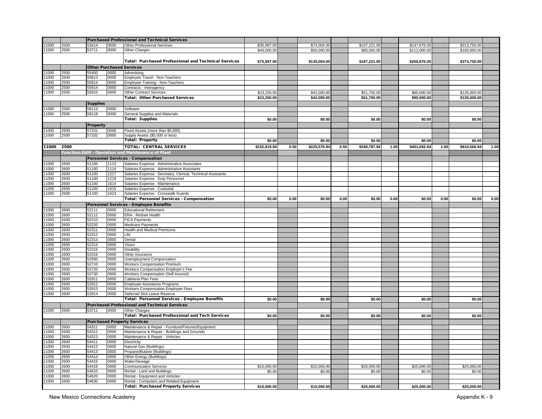|       |      |                 |      | <b>Purchased Professional and Technical Services</b>                      |              |      |              |      |              |      |              |      |              |      |
|-------|------|-----------------|------|---------------------------------------------------------------------------|--------------|------|--------------|------|--------------|------|--------------|------|--------------|------|
| 11000 | 2500 | 3414            | 0000 | <b>Other Professional Services</b>                                        | \$35,997.00  |      | \$74,004.00  |      | \$107,221.00 |      | \$147,876.00 |      | \$213,750.00 |      |
| 11000 | 2500 | 53711           | 0000 | Other Charges                                                             | \$40,000.00  |      | \$56,000.00  |      | \$80,000.00  |      | \$112,000.00 |      | \$160,000.00 |      |
|       |      |                 |      |                                                                           |              |      |              |      |              |      |              |      |              |      |
|       |      |                 |      | <b>Total: Purchased Professional and Technical Services</b>               | \$75,997.00  |      | \$130,004.00 |      | \$187,221.00 |      | \$259,876.00 |      | \$373,750.00 |      |
|       |      |                 |      | <b>Other Purchased Services</b>                                           |              |      |              |      |              |      |              |      |              |      |
| 1000  | 2500 | 55400           | 0000 | Advertising                                                               |              |      |              |      |              |      |              |      |              |      |
| 11000 | 2500 | 55813           | 0000 | Employee Travel - Non-Teachers                                            |              |      |              |      |              |      |              |      |              |      |
| 1000  | 2500 | 55814           | 0000 | Employee Training - Non-Teachers                                          |              |      |              |      |              |      |              |      |              |      |
| 1000  | 2500 | 55914           | 0000 | Contracts - Interagency                                                   |              |      |              |      |              |      |              |      |              |      |
| 11000 | 2500 | 55915           | 0000 | Other Contract Services                                                   | \$23,250.00  |      | \$42,000.00  |      | \$51,750.00  |      | \$90,000.00  |      | \$135,000.00 |      |
|       |      |                 |      | <b>Total: Other Purchased Services</b>                                    | \$23,250.00  |      | \$42,000.00  |      | \$51,750.00  |      | \$90,000.00  |      | \$135,000.00 |      |
|       |      | <b>Supplies</b> |      |                                                                           |              |      |              |      |              |      |              |      |              |      |
| 11000 | 2500 | 56113           | 0000 | Software                                                                  |              |      |              |      |              |      |              |      |              |      |
| 11000 | 2500 | 56118           | 0000 | General Supplies and Materials                                            |              |      |              |      |              |      |              |      |              |      |
|       |      |                 |      | <b>Total: Supplies</b>                                                    | \$0.00       |      | \$0.00       |      | \$0.00       |      | \$0.00       |      | \$0.00       |      |
|       |      |                 |      |                                                                           |              |      |              |      |              |      |              |      |              |      |
|       |      | Property        |      |                                                                           |              |      |              |      |              |      |              |      |              |      |
| 11000 | 2500 | 57331           | 0000 | Fixed Assets (more than \$5,000)                                          |              |      |              |      |              |      |              |      |              |      |
| 11000 | 2500 | 57332           | 0000 | Supply Assets (\$5,000 or less)                                           |              |      |              |      |              |      |              |      |              |      |
|       |      |                 |      | <b>Total: Property</b>                                                    | \$0.00       |      | \$0.00       |      | \$0.00       |      | \$0.00       |      | \$0.00       |      |
| 11000 | 2500 |                 |      | <b>TOTAL: CENTRAL SERVICES</b>                                            | \$152,819.94 | 0.50 | \$225,576.94 | 0.50 | \$340,787.94 | 1.00 | \$451,692.94 | 1.00 | \$610,566.94 | 1.00 |
|       |      |                 |      | Tunction-2600 - Operation and Maintenance of Plant                        |              |      |              |      |              |      |              |      |              |      |
|       |      |                 |      | <b>Personnel Services - Compensation</b>                                  |              |      |              |      |              |      |              |      |              |      |
| 11000 | 2600 | 51100           | 1113 | Salaries Expense: Administrative Associates                               |              |      |              |      |              |      |              |      |              |      |
| 1000  | 2600 | 51100           | 1114 | Salaries Expense: Administrative Assistants                               |              |      |              |      |              |      |              |      |              |      |
| 1000  | 2600 | 51100           | 1217 | Salaries Expense: Secretary, Clerical, Technical Assistants               |              |      |              |      |              |      |              |      |              |      |
| 1000  | 2600 | 51100           | 1219 | Salaries Expense: Duty Personnel                                          |              |      |              |      |              |      |              |      |              |      |
| 11000 | 2600 | 51100           | 1614 | Salaries Expense: Maintenance                                             |              |      |              |      |              |      |              |      |              |      |
| 1000  | 2600 | 51100           | 1615 | Salaries Expense: Custodial                                               |              |      |              |      |              |      |              |      |              |      |
| 11000 | 2600 | 51100           | 1623 | Salaries Expense: Crosswalk Guards                                        |              |      |              |      |              |      |              |      |              |      |
|       |      |                 |      | Total: Personnel Services - Compensation                                  | \$0.00       | 0.00 | \$0.00       | 0.00 | \$0.00       | 0.00 | \$0.00       | 0.00 | \$0.00       | 0.00 |
|       |      |                 |      | Personnel Services - Employee Benefits                                    |              |      |              |      |              |      |              |      |              |      |
| 11000 | 2600 | 52111           | 0000 | <b>Educational Retirement</b>                                             |              |      |              |      |              |      |              |      |              |      |
| 11000 | 2600 | 52112           | 0000 | ERA - Retiree Health                                                      |              |      |              |      |              |      |              |      |              |      |
| 1000  | 2600 | 52210           | 0000 | <b>FICA Payments</b>                                                      |              |      |              |      |              |      |              |      |              |      |
| 1000  | 2600 | 52220           | 0000 | Medicare Payments                                                         |              |      |              |      |              |      |              |      |              |      |
| 1000  | 2600 | 52311           | 0000 | <b>Health and Medical Premiums</b>                                        |              |      |              |      |              |      |              |      |              |      |
| 1000  | 2600 | 52312           | 0000 | Life                                                                      |              |      |              |      |              |      |              |      |              |      |
| 1000  | 2600 | 52313           | 0000 | Dental                                                                    |              |      |              |      |              |      |              |      |              |      |
| 1000  | 2600 | 52314           | 0000 | Vision                                                                    |              |      |              |      |              |      |              |      |              |      |
| 11000 | 2600 | 52315           | 0000 | Disability                                                                |              |      |              |      |              |      |              |      |              |      |
| 11000 | 2600 | 52316           | 0000 | Other Insurance                                                           |              |      |              |      |              |      |              |      |              |      |
| 11000 | 2600 | 52500           | 0000 | Unemployment Compensation                                                 |              |      |              |      |              |      |              |      |              |      |
| 11000 | 2600 | 52710           | 0000 | <b>Workers Compensation Premium</b>                                       |              |      |              |      |              |      |              |      |              |      |
| 11000 | 2600 | 52720           | 0000 | Workers Compensation Employer's Fee                                       |              |      |              |      |              |      |              |      |              |      |
| 11000 | 2600 | 52730           | 0000 | <b>Workers Compensation (Self Insured)</b>                                |              |      |              |      |              |      |              |      |              |      |
| 1000  | 2600 | 52911           | 0000 | Cafeteria Plan Fees                                                       |              |      |              |      |              |      |              |      |              |      |
| 1000  | 2600 | 52912<br>52913  | 0000 | Employee Assistance Programs<br><b>Workers Compensation Employee Fees</b> |              |      |              |      |              |      |              |      |              |      |
| 1000  | 2600 |                 | 0000 |                                                                           |              |      |              |      |              |      |              |      |              |      |
| 1000  | 2600 | 52914           | 0000 | Deferred Sick Leave Reserve                                               |              |      |              |      |              |      |              |      |              |      |
|       |      |                 |      | Total: Personnel Services - Employee Benefits                             | \$0.00       |      | \$0.00       |      | \$0.00       |      | \$0.00       |      | \$0.00       |      |
|       |      |                 |      | <b>Purchased Professional and Technical Services</b>                      |              |      |              |      |              |      |              |      |              |      |
| 11000 | 2600 | 53711           | 0000 | Other Charges                                                             |              |      |              |      |              |      |              |      |              |      |
|       |      |                 |      | Total: Purchased Professional and Tech Services                           | \$0.00       |      | \$0.00       |      | \$0.00       |      | \$0.00       |      | \$0.00       |      |
|       |      |                 |      | <b>Purchased Property Services</b>                                        |              |      |              |      |              |      |              |      |              |      |
| 1000  | 2600 | 54311           | 0000 | Maintenance & Repair - Furniture/Fixtures/Equipment                       |              |      |              |      |              |      |              |      |              |      |
| 1000  | 2600 | 54312           | 0000 | Maintenance & Repair - Buildings and Grounds                              |              |      |              |      |              |      |              |      |              |      |
| 1000  | 2600 | 54313           | 0000 | Maintenance & Repair - Vehicles                                           |              |      |              |      |              |      |              |      |              |      |
| 1000  | 2600 | 54411           | 0000 | Electricity                                                               |              |      |              |      |              |      |              |      |              |      |
| 1000  | 2600 | 54412           | 0000 | Natural Gas (Buildings)                                                   |              |      |              |      |              |      |              |      |              |      |
| 1000  | 2600 | 54413           | 0000 | Propane/Butane (Buildings)                                                |              |      |              |      |              |      |              |      |              |      |
| 11000 | 2600 | 54414           | 0000 | Other Energy (Buildings)                                                  |              |      |              |      |              |      |              |      |              |      |
| 1000  | 2600 | 54415           | 0000 | Water/Sewage                                                              |              |      |              |      |              |      |              |      |              |      |
| 1000  | 2600 | 54416           | 0000 | <b>Communication Services</b>                                             | \$10,000.00  |      | \$15,000.00  |      | \$20,000.00  |      | \$25,000.00  |      | \$25,000.00  |      |
| 1000  | 2600 | 54610           | 0000 | Rental - Land and Buildings                                               | \$0.00       |      | \$0.00       |      | \$0.00       |      | \$0.00       |      | \$0.00       |      |
| 1000  | 2600 | 54620           | 0000 | Rental - Equipment and Vehicles                                           |              |      |              |      |              |      |              |      |              |      |
| 1000  | 2600 | 54630           | 0000 | Rental - Computers and Related Equipment                                  |              |      |              |      |              |      |              |      |              |      |
|       |      |                 |      | <b>Total: Purchased Property Services</b>                                 | \$10,000.00  |      | \$15,000.00  |      | \$20,000.00  |      | \$25,000.00  |      | \$25,000.00  |      |

New Mexico Connections Academy **Appendix K - 9** Appendix K - 9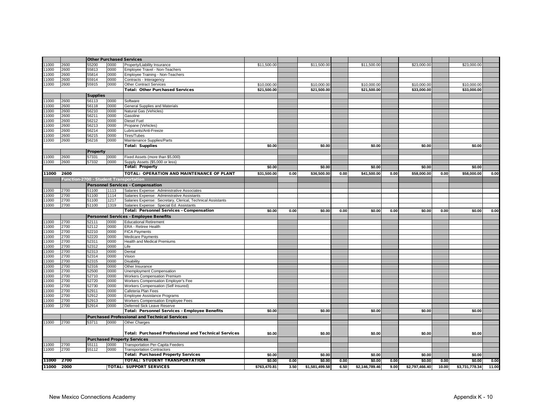|       |      |                 |      | <b>Other Purchased Services</b>                             |              |      |                |      |                |      |                |       |                |       |
|-------|------|-----------------|------|-------------------------------------------------------------|--------------|------|----------------|------|----------------|------|----------------|-------|----------------|-------|
| 1000  | 2600 | 55200           | 0000 | Property/Liability Insurance                                | \$11,500.00  |      | \$11,500.00    |      | \$11,500.00    |      | \$23,000.00    |       | \$23,000.00    |       |
| 1000  | 2600 | 55813           | 0000 | Employee Travel - Non-Teachers                              |              |      |                |      |                |      |                |       |                |       |
| 1000  | 2600 | 55814           | 0000 | Employee Training - Non-Teachers                            |              |      |                |      |                |      |                |       |                |       |
| 1000  | 2600 | 55914           | 0000 | Contracts - Interagency                                     |              |      |                |      |                |      |                |       |                |       |
| 1000  | 2600 | 55915           | 0000 | <b>Other Contract Services</b>                              | \$10,000.00  |      | \$10,000.00    |      | \$10,000.00    |      | \$10,000.00    |       | \$10,000.00    |       |
|       |      |                 |      | <b>Total: Other Purchased Services</b>                      | \$21,500.00  |      | \$21,500.00    |      | \$21,500.00    |      | \$33,000.00    |       | \$33,000.00    |       |
|       |      | <b>Supplies</b> |      |                                                             |              |      |                |      |                |      |                |       |                |       |
| 1000  | 2600 | 56113           | 0000 | Software                                                    |              |      |                |      |                |      |                |       |                |       |
| 1000  | 2600 | 56118           | 0000 | General Supplies and Materials                              |              |      |                |      |                |      |                |       |                |       |
| 11000 | 2600 | 56210           | 0000 | Natural Gas (Vehicles)                                      |              |      |                |      |                |      |                |       |                |       |
| 1000  | 2600 | 56211           | 0000 | Gasoline                                                    |              |      |                |      |                |      |                |       |                |       |
| 1000  | 2600 | 56212           | 0000 | Diesel Fuel                                                 |              |      |                |      |                |      |                |       |                |       |
| 1000  | 2600 | 56213           | 0000 | Propane (Vehicles)                                          |              |      |                |      |                |      |                |       |                |       |
| 1000  | 2600 | 56214           | 0000 | Lubricants/Anti-Freeze                                      |              |      |                |      |                |      |                |       |                |       |
| 1000  | 2600 | 56215           | 0000 | Tires/Tubes                                                 |              |      |                |      |                |      |                |       |                |       |
| 1000  | 2600 | 56216           | 0000 | Maintenance Supplies/Parts                                  |              |      |                |      |                |      |                |       |                |       |
|       |      |                 |      | <b>Total: Supplies</b>                                      | \$0.00       |      | \$0.00         |      | \$0.00         |      | \$0.00         |       | \$0.00         |       |
|       |      |                 |      |                                                             |              |      |                |      |                |      |                |       |                |       |
|       |      | Property        |      |                                                             |              |      |                |      |                |      |                |       |                |       |
| 1000  | 2600 | 57331           | 0000 | Fixed Assets (more than \$5,000)                            |              |      |                |      |                |      |                |       |                |       |
| 1000  | 2600 | 57332           | 0000 | Supply Assets (\$5,000 or less)                             |              |      |                |      |                |      |                |       |                |       |
|       |      |                 |      | <b>Total: Property</b>                                      | \$0.00       |      | \$0.00         |      | \$0.00         |      | \$0.00         |       | \$0.00         |       |
| 11000 | 2600 |                 |      | TOTAL: OPERATION AND MAINTENANCE OF PLANT                   | \$31,500.00  | 0.00 | \$36,500.00    | 0.00 | \$41,500.00    | 0.00 | \$58,000.00    | 0.00  | \$58,000.00    | 0.00  |
|       |      |                 |      | Function-2700 - Student Transportation                      |              |      |                |      |                |      |                |       |                |       |
|       |      |                 |      | <b>Personnel Services - Compensation</b>                    |              |      |                |      |                |      |                |       |                |       |
| 1000  | 2700 | 51100           | 1113 | Salaries Expense: Administrative Associates                 |              |      |                |      |                |      |                |       |                |       |
| 1000  | 2700 | 51100           | 1114 | Salaries Expense: Administrative Assistants                 |              |      |                |      |                |      |                |       |                |       |
| 1000  | 2700 | 51100           | 1217 | Salaries Expense: Secretary, Clerical, Technical Assistants |              |      |                |      |                |      |                |       |                |       |
| 11000 | 2700 | 51100           | 1319 | Salaries Expense: Special Ed. Assistants                    |              |      |                |      |                |      |                |       |                |       |
|       |      |                 |      | Total: Personnel Services - Compensation                    | \$0.00       | 0.00 | \$0.00         | 0.00 | \$0.00         | 0.00 | \$0.00         | 0.00  | \$0.00         | 0.00  |
|       |      |                 |      | Personnel Services - Employee Benefits                      |              |      |                |      |                |      |                |       |                |       |
| 1000  | 2700 | 52111           | 0000 | <b>Educational Retirement</b>                               |              |      |                |      |                |      |                |       |                |       |
| 1000  | 2700 | 52112           | 0000 | ERA - Retiree Health                                        |              |      |                |      |                |      |                |       |                |       |
| 1000  | 2700 | 52210           | 0000 | <b>FICA Payments</b>                                        |              |      |                |      |                |      |                |       |                |       |
| 1000  | 2700 | 52220           | 0000 | <b>Medicare Payments</b>                                    |              |      |                |      |                |      |                |       |                |       |
| 11000 | 2700 | 52311           | 0000 | <b>Health and Medical Premiums</b>                          |              |      |                |      |                |      |                |       |                |       |
| 1000  | 2700 | 52312           | 0000 | Life                                                        |              |      |                |      |                |      |                |       |                |       |
| 1000  | 2700 | 52313           | 0000 | Dental                                                      |              |      |                |      |                |      |                |       |                |       |
| 1000  | 2700 | 52314           | 0000 | Vision                                                      |              |      |                |      |                |      |                |       |                |       |
| 1000  | 2700 | 52315           | 0000 | <b>Disability</b>                                           |              |      |                |      |                |      |                |       |                |       |
| 11000 | 2700 | 52316           | 0000 | Other Insurance                                             |              |      |                |      |                |      |                |       |                |       |
| 1000  | 2700 | 52500           | 0000 | Unemployment Compensation                                   |              |      |                |      |                |      |                |       |                |       |
| 1000  | 2700 | 52710           | 0000 | <b>Workers Compensation Premium</b>                         |              |      |                |      |                |      |                |       |                |       |
| 1000  | 2700 | 52720           | 0000 | Workers Compensation Employer's Fee                         |              |      |                |      |                |      |                |       |                |       |
| 1000  | 2700 | 52730           | 0000 | Workers Compensation (Self Insured)                         |              |      |                |      |                |      |                |       |                |       |
| 1000  | 2700 | 52911           | 0000 | Cafeteria Plan Fees                                         |              |      |                |      |                |      |                |       |                |       |
| 1000  | 2700 | 52912           | 0000 | Employee Assistance Programs                                |              |      |                |      |                |      |                |       |                |       |
| 1000  | 2700 | 52913           | 0000 | Workers Compensation Employee Fees                          |              |      |                |      |                |      |                |       |                |       |
| 1000  | 2700 | 52914           | 0000 | Deferred Sick Leave Reserve                                 |              |      |                |      |                |      |                |       |                |       |
|       |      |                 |      | Total: Personnel Services - Employee Benefits               | \$0.00       |      | \$0.00         |      | \$0.00         |      | \$0.00         |       | \$0.00         |       |
|       |      |                 |      | <b>Purchased Professional and Technical Services</b>        |              |      |                |      |                |      |                |       |                |       |
| 1000  | 2700 | 53711           | 0000 | Other Charges                                               |              |      |                |      |                |      |                |       |                |       |
|       |      |                 |      |                                                             |              |      |                |      |                |      |                |       |                |       |
|       |      |                 |      | Total: Purchased Professional and Technical Services        | \$0.00       |      | \$0.00         |      | \$0.00         |      | \$0.00         |       | \$0.00         |       |
|       |      |                 |      |                                                             |              |      |                |      |                |      |                |       |                |       |
|       |      |                 |      | <b>Purchased Property Services</b>                          |              |      |                |      |                |      |                |       |                |       |
| 1000  | 2700 | 55111           | 0000 | Transportation Per-Capita Feeders                           |              |      |                |      |                |      |                |       |                |       |
| 11000 | 2700 | 55112           | 0000 | <b>Transportation Contractors</b>                           |              |      |                |      |                |      |                |       |                |       |
|       |      |                 |      | <b>Total: Purchased Property Services</b>                   | \$0.00       |      | \$0.00         |      | \$0.00         |      | \$0.00         |       | \$0.00         |       |
| 11000 | 2700 |                 |      | <b>TOTAL: STUDENT TRANSPORTATION</b>                        | \$0.00       | 0.00 | \$0.00         | 0.00 | \$0.00         | 0.00 | \$0.00         | 0.00  | \$0.00         | 0.00  |
| 11000 | 2000 |                 |      | <b>TOTAL: SUPPORT SERVICES</b>                              | \$763,470.81 | 3.50 | \$1,581,499.58 | 6.50 | \$2,146,789.46 | 9.00 | \$2,797,466.40 | 10.00 | \$3,731,778.34 | 11.00 |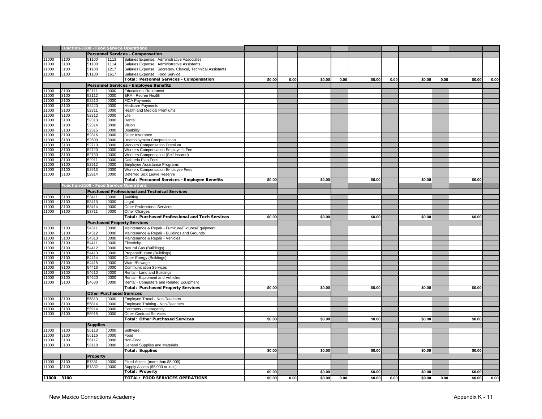|                |              | Function-3100 - Food Service Operations        |              |                                                                |        |      |        |      |        |      |        |      |        |      |
|----------------|--------------|------------------------------------------------|--------------|----------------------------------------------------------------|--------|------|--------|------|--------|------|--------|------|--------|------|
|                |              |                                                |              | <b>Personnel Services - Compensation</b>                       |        |      |        |      |        |      |        |      |        |      |
| 11000          | 3100         | 51100                                          | 1113         | Salaries Expense: Administrative Associates                    |        |      |        |      |        |      |        |      |        |      |
| 11000          | 3100         | 51100                                          | 1114         | Salaries Expense: Administrative Assistants                    |        |      |        |      |        |      |        |      |        |      |
| 11000          | 3100         | 51100                                          | 1217         | Salaries Expense: Secretary, Clerical, Technical Assistants    |        |      |        |      |        |      |        |      |        |      |
| 11000          | 3100         | 51100                                          | 1617         | Salaries Expense: Food Service                                 |        |      |        |      |        |      |        |      |        |      |
|                |              |                                                |              | <b>Total: Personnel Services - Compensation</b>                | \$0.00 | 0.00 | \$0.00 | 0.00 | \$0.00 | 0.00 | \$0.00 | 0.00 | \$0.00 | 0.00 |
|                |              |                                                |              | <b>Personnel Services - Employee Benefits</b>                  |        |      |        |      |        |      |        |      |        |      |
| 11000          | 3100         | 52111                                          | 0000         | <b>Educational Retirement</b>                                  |        |      |        |      |        |      |        |      |        |      |
| 11000          | 3100         | 52112                                          | 0000         | ERA - Retiree Health                                           |        |      |        |      |        |      |        |      |        |      |
| 11000          | 3100         | 52210                                          | 0000         | <b>FICA Payments</b>                                           |        |      |        |      |        |      |        |      |        |      |
| 11000          | 3100         | 52220                                          | 0000         | <b>Medicare Payments</b>                                       |        |      |        |      |        |      |        |      |        |      |
| 11000          | 3100         | 52311                                          | 0000         | <b>Health and Medical Premiums</b>                             |        |      |        |      |        |      |        |      |        |      |
| 11000          | 3100         | 52312                                          | 0000         | Life                                                           |        |      |        |      |        |      |        |      |        |      |
| 11000          | 3100         | 52313                                          | 0000         | Dental                                                         |        |      |        |      |        |      |        |      |        |      |
| 11000          | 3100         | 52314                                          | 0000         | Vision                                                         |        |      |        |      |        |      |        |      |        |      |
| 11000          | 3100         | 52315                                          | 0000         | Disability                                                     |        |      |        |      |        |      |        |      |        |      |
| 11000          | 3100         | 52316                                          | 0000         | Other Insurance                                                |        |      |        |      |        |      |        |      |        |      |
| 11000          | 3100         | 52500                                          | 0000         | Unemployment Compensation                                      |        |      |        |      |        |      |        |      |        |      |
| 11000          | 3100         | 52710                                          | 0000         | Workers Compensation Premium                                   |        |      |        |      |        |      |        |      |        |      |
| 11000          | 3100         | 52720                                          | 0000         | Workers Compensation Employer's Fee                            |        |      |        |      |        |      |        |      |        |      |
| 11000          | 3100         | 52730                                          | 0000         | Workers Compensation (Self Insured)                            |        |      |        |      |        |      |        |      |        |      |
| 11000          | 3100         | 52911                                          | 0000         | Cafeteria Plan Fees                                            |        |      |        |      |        |      |        |      |        |      |
| 11000          | 3100         | 52912                                          | 0000         | Employee Assistance Programs                                   |        |      |        |      |        |      |        |      |        |      |
| 11000          | 3100         | 52913                                          | 0000         | Workers Compensation Employee Fees                             |        |      |        |      |        |      |        |      |        |      |
| 11000          | 3100         | 52914                                          | 0000         | Deferred Sick Leave Reserve                                    | \$0.00 |      |        |      |        |      |        |      |        |      |
|                |              |                                                |              | Total: Personnel Services - Employee Benefits                  |        |      | \$0.00 |      | \$0.00 |      | \$0.00 |      | \$0.00 |      |
|                |              | <b>Function-3100 - Food Service Operations</b> |              |                                                                |        |      |        |      |        |      |        |      |        |      |
|                |              |                                                |              | <b>Purchased Professional and Technical Services</b>           |        |      |        |      |        |      |        |      |        |      |
| 11000          | 3100         | 53411                                          | 0000         | Auditing                                                       |        |      |        |      |        |      |        |      |        |      |
| 11000          | 3100         | 53413                                          | 0000         | Legal                                                          |        |      |        |      |        |      |        |      |        |      |
| 11000          | 3100         | 53414                                          | 0000         | <b>Other Professional Services</b>                             |        |      |        |      |        |      |        |      |        |      |
| 11000          | 3100         | 53711                                          | 0000         | Other Charges                                                  |        |      |        |      |        |      |        |      |        |      |
|                |              |                                                |              | <b>Total: Purchased Professional and Tech Services</b>         | \$0.00 |      | \$0.00 |      | \$0.00 |      | \$0.00 |      | \$0.00 |      |
|                |              |                                                |              | <b>Purchased Property Services</b>                             |        |      |        |      |        |      |        |      |        |      |
| 11000          | 3100         | 54311                                          | 0000         | Maintenance & Repair - Furniture/Fixtures/Equipment            |        |      |        |      |        |      |        |      |        |      |
| 11000          | 3100         | 54312                                          | 0000         | Maintenance & Repair - Buildings and Grounds                   |        |      |        |      |        |      |        |      |        |      |
| 11000          | 3100         | 54313                                          | 0000         | Maintenance & Repair - Vehicles                                |        |      |        |      |        |      |        |      |        |      |
| 11000          | 3100         | 54411                                          | 0000         | Electricity                                                    |        |      |        |      |        |      |        |      |        |      |
| 11000          | 3100         | 54412                                          | 0000         | Natural Gas (Buildings)                                        |        |      |        |      |        |      |        |      |        |      |
| 11000          | 3100         | 54413                                          | 0000         | Propane/Butane (Buildings)                                     |        |      |        |      |        |      |        |      |        |      |
| 11000          | 3100         | 54414                                          | 0000         | Other Energy (Buildings)                                       |        |      |        |      |        |      |        |      |        |      |
| 11000<br>11000 | 3100<br>3100 | 54415<br>54416                                 | 0000<br>0000 | Water/Sewage                                                   |        |      |        |      |        |      |        |      |        |      |
| 11000          | 3100         | 54610                                          | 0000         | <b>Communication Services</b>                                  |        |      |        |      |        |      |        |      |        |      |
| 11000          | 3100         | 54620                                          | 0000         | Rental - Land and Buildings<br>Rental - Equipment and Vehicles |        |      |        |      |        |      |        |      |        |      |
| 11000          | 3100         | 54630                                          | 0000         | Rental - Computers and Related Equipment                       |        |      |        |      |        |      |        |      |        |      |
|                |              |                                                |              | <b>Total: Purchased Property Services</b>                      | \$0.00 |      | \$0.00 |      | \$0.00 |      | \$0.00 |      | \$0.00 |      |
|                |              |                                                |              | <b>Other Purchased Services</b>                                |        |      |        |      |        |      |        |      |        |      |
| 11000          | 3100         | 55813                                          | 0000         |                                                                |        |      |        |      |        |      |        |      |        |      |
| 11000          | 3100         | 55814                                          | 0000         | Employee Travel - Non-Teachers                                 |        |      |        |      |        |      |        |      |        |      |
| 11000          | 3100         | 55914                                          | 0000         | Employee Training - Non-Teachers<br>Contracts - Interagency    |        |      |        |      |        |      |        |      |        |      |
| 11000          | 3100         | 55915                                          | 0000         | <b>Other Contract Services</b>                                 |        |      |        |      |        |      |        |      |        |      |
|                |              |                                                |              | <b>Total: Other Purchased Services</b>                         | \$0.00 |      | \$0.00 |      | \$0.00 |      | \$0.00 |      | \$0.00 |      |
|                |              |                                                |              |                                                                |        |      |        |      |        |      |        |      |        |      |
|                |              | <b>Supplies</b>                                |              |                                                                |        |      |        |      |        |      |        |      |        |      |
| 11000          | 3100         | 56113                                          | 0000         | Software                                                       |        |      |        |      |        |      |        |      |        |      |
| 11000          | 3100         | 56116                                          | 0000         | Food                                                           |        |      |        |      |        |      |        |      |        |      |
| 1000<br>11000  | 3100<br>3100 | 56117                                          | 0000<br>0000 | Non-Food                                                       |        |      |        |      |        |      |        |      |        |      |
|                |              | 56118                                          |              | General Supplies and Materials                                 |        |      |        |      |        |      |        |      |        |      |
|                |              |                                                |              | <b>Total: Supplies</b>                                         | \$0.00 |      | \$0.00 |      | \$0.00 |      | \$0.00 |      | \$0.00 |      |
|                |              | Property                                       |              |                                                                |        |      |        |      |        |      |        |      |        |      |
| 11000          | 3100         | 57331                                          | 0000         | Fixed Assets (more than \$5,000)                               |        |      |        |      |        |      |        |      |        |      |
| 11000          | 3100         | 57332                                          | 0000         | Supply Assets (\$5,000 or less)                                |        |      |        |      |        |      |        |      |        |      |
|                |              |                                                |              | <b>Total: Property</b>                                         | \$0.00 |      | \$0.00 |      | \$0.00 |      | \$0.00 |      | \$0.00 |      |
|                | 11000 3100   |                                                |              | <b>TOTAL: FOOD SERVICES OPERATIONS</b>                         | \$0.00 | 0.00 | \$0.00 | 0.00 | \$0.00 | 0.00 | \$0.00 | 0.00 | \$0.00 | 0.00 |